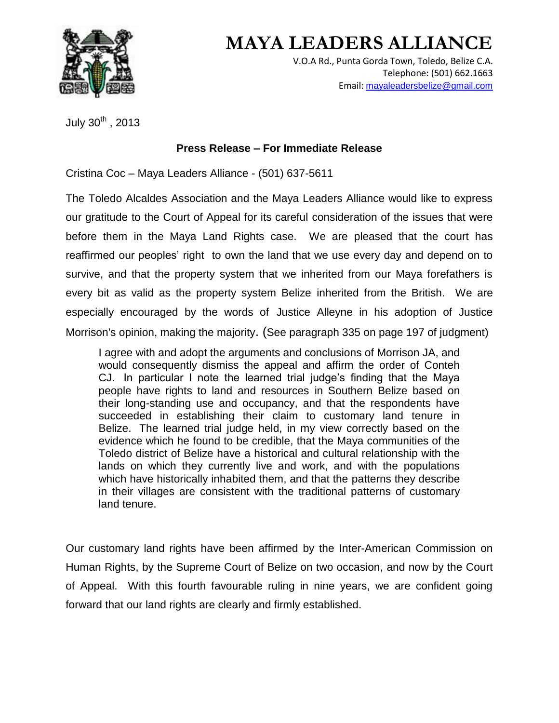

## **MAYA LEADERS ALLIANCE**

V.O.A Rd., Punta Gorda Town, Toledo, Belize C.A. Telephone: (501) 662.1663 Email: mayaleadersbelize@gmail.com

July  $30^{th}$  , 2013

## **Press Release – For Immediate Release**

Cristina Coc – Maya Leaders Alliance - (501) 637-5611

The Toledo Alcaldes Association and the Maya Leaders Alliance would like to express our gratitude to the Court of Appeal for its careful consideration of the issues that were before them in the Maya Land Rights case. We are pleased that the court has reaffirmed our peoples' right to own the land that we use every day and depend on to survive, and that the property system that we inherited from our Maya forefathers is every bit as valid as the property system Belize inherited from the British. We are especially encouraged by the words of Justice Alleyne in his adoption of Justice Morrison's opinion, making the majority. (See paragraph 335 on page 197 of judgment)

I agree with and adopt the arguments and conclusions of Morrison JA, and would consequently dismiss the appeal and affirm the order of Conteh CJ. In particular I note the learned trial judge's finding that the Maya people have rights to land and resources in Southern Belize based on their long-standing use and occupancy, and that the respondents have succeeded in establishing their claim to customary land tenure in Belize. The learned trial judge held, in my view correctly based on the evidence which he found to be credible, that the Maya communities of the Toledo district of Belize have a historical and cultural relationship with the lands on which they currently live and work, and with the populations which have historically inhabited them, and that the patterns they describe in their villages are consistent with the traditional patterns of customary land tenure.

Our customary land rights have been affirmed by the Inter-American Commission on Human Rights, by the Supreme Court of Belize on two occasion, and now by the Court of Appeal. With this fourth favourable ruling in nine years, we are confident going forward that our land rights are clearly and firmly established.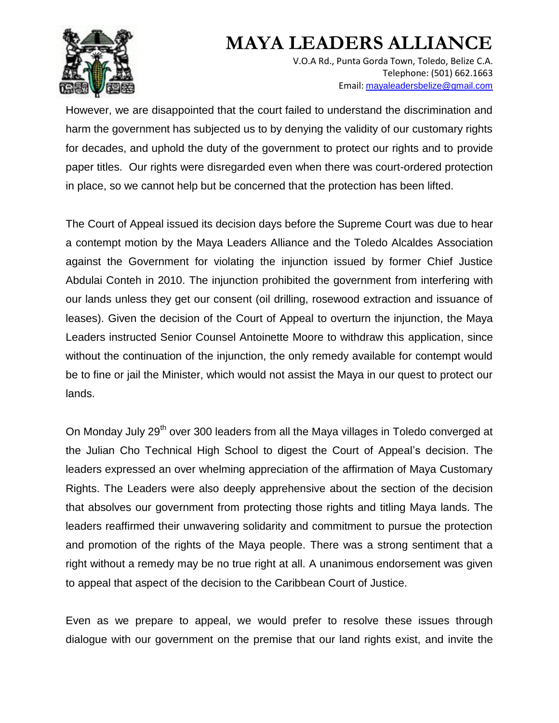## **MAYA LEADERS ALLIANCE**



V.O.A Rd., Punta Gorda Town, Toledo, Belize C.A. Telephone: (501) 662.1663 Email: mayaleadersbelize@gmail.com

However, we are disappointed that the court failed to understand the discrimination and harm the government has subjected us to by denying the validity of our customary rights for decades, and uphold the duty of the government to protect our rights and to provide paper titles. Our rights were disregarded even when there was court-ordered protection in place, so we cannot help but be concerned that the protection has been lifted.

The Court of Appeal issued its decision days before the Supreme Court was due to hear a contempt motion by the Maya Leaders Alliance and the Toledo Alcaldes Association against the Government for violating the injunction issued by former Chief Justice Abdulai Conteh in 2010. The injunction prohibited the government from interfering with our lands unless they get our consent (oil drilling, rosewood extraction and issuance of leases). Given the decision of the Court of Appeal to overturn the injunction, the Maya Leaders instructed Senior Counsel Antoinette Moore to withdraw this application, since without the continuation of the injunction, the only remedy available for contempt would be to fine or jail the Minister, which would not assist the Maya in our quest to protect our lands.

On Monday July 29<sup>th</sup> over 300 leaders from all the Maya villages in Toledo converged at the Julian Cho Technical High School to digest the Court of Appeal's decision. The leaders expressed an over whelming appreciation of the affirmation of Maya Customary Rights. The Leaders were also deeply apprehensive about the section of the decision that absolves our government from protecting those rights and titling Maya lands. The leaders reaffirmed their unwavering solidarity and commitment to pursue the protection and promotion of the rights of the Maya people. There was a strong sentiment that a right without a remedy may be no true right at all. A unanimous endorsement was given to appeal that aspect of the decision to the Caribbean Court of Justice.

Even as we prepare to appeal, we would prefer to resolve these issues through dialogue with our government on the premise that our land rights exist, and invite the